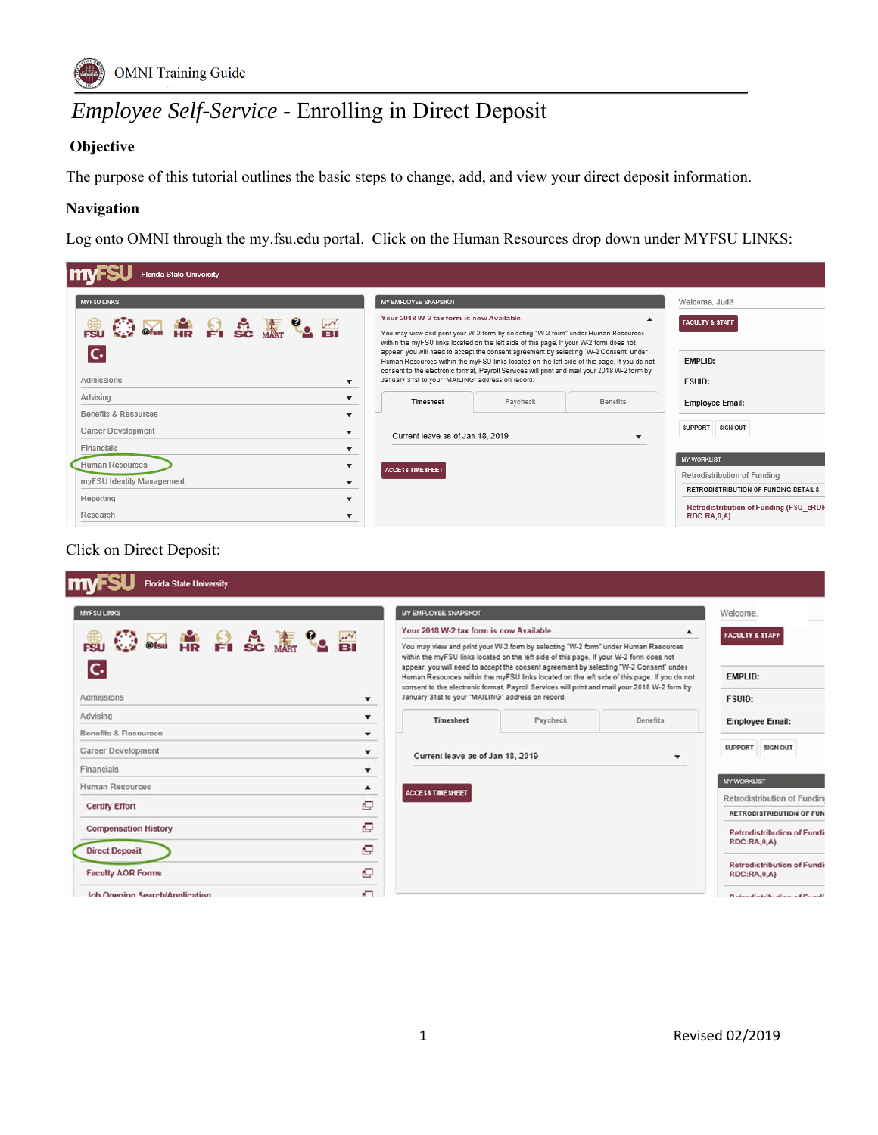

# *Employee Self-Service* - Enrolling in Direct Deposit

## **Objective**

The purpose of this tutorial outlines the basic steps to change, add, and view your direct deposit information.

### **Navigation**

Log onto OMNI through the my.fsu.edu portal. Click on the Human Resources drop down under MYFSU LINKS:

| <b>Florida State University</b>                 |                                                                                                                                                                                                                                                                         |          |                  |                                                              |
|-------------------------------------------------|-------------------------------------------------------------------------------------------------------------------------------------------------------------------------------------------------------------------------------------------------------------------------|----------|------------------|--------------------------------------------------------------|
| <b>MYFSU LINKS</b>                              | MY EMPLOYEE SNAPSHOT                                                                                                                                                                                                                                                    |          |                  | Welcome, Judi!                                               |
|                                                 | Your 2018 W-2 tax form is now Available.                                                                                                                                                                                                                                |          | $\blacktriangle$ | <b>FACULTY &amp; STAFF</b>                                   |
| <b>MERICE</b>                                   | You may view and print your W-2 form by selecting "W-2 form" under Human Resources<br>within the myFSU links located on the left side of this page. If your W-2 form does not<br>appear, you will need to accept the consent agreement by selecting "W-2 Consent" under |          |                  |                                                              |
|                                                 | Human Resources within the myFSU links located on the left side of this page. If you do not<br>consent to the electronic format, Payroll Services will print and mail your 2018 W-2 form by                                                                             |          |                  | <b>EMPLID:</b>                                               |
| Admissions<br>$\overline{\mathbf{v}}$           | January 31st to your "MAILING" address on record.                                                                                                                                                                                                                       |          |                  | <b>FSUID:</b>                                                |
| Advising<br>▼                                   | Timesheet                                                                                                                                                                                                                                                               | Paycheck | <b>Benefits</b>  | <b>Employee Email:</b>                                       |
| Benefits & Resources<br>$\overline{\mathbf{v}}$ |                                                                                                                                                                                                                                                                         |          |                  |                                                              |
| Career Development<br>▼                         | Current leave as of Jan 18, 2019                                                                                                                                                                                                                                        |          | ▼                | SUPPORT<br><b>SIGN OUT</b>                                   |
| Financials<br>$\overline{\mathbf{v}}$           |                                                                                                                                                                                                                                                                         |          |                  |                                                              |
| Human Resources<br>$\overline{\phantom{a}}$     | <b>ACCESS TIME SHEET</b>                                                                                                                                                                                                                                                |          |                  | <b>MY WORKLIST</b>                                           |
| myFSU Identity Management<br>$\mathbf{v}$       |                                                                                                                                                                                                                                                                         |          |                  | Retrodistribution of Funding                                 |
| Reporting<br>▼                                  |                                                                                                                                                                                                                                                                         |          |                  | <b>RETRODISTRIBUTION OF FUNDING DETAILS</b>                  |
| Research                                        |                                                                                                                                                                                                                                                                         |          |                  | Retrodistribution of Funding (FSU eRDF<br><b>RDC:RA,0,A)</b> |

## Click on Direct Deposit:

| <b>MYFSU LINKS</b>                               | MY EMPLOYEE SNAPSHOT                              |                                                                                                                                                                                                                                                                         |                 | Welcome.                                                |
|--------------------------------------------------|---------------------------------------------------|-------------------------------------------------------------------------------------------------------------------------------------------------------------------------------------------------------------------------------------------------------------------------|-----------------|---------------------------------------------------------|
|                                                  | Your 2018 W-2 tax form is now Available.          |                                                                                                                                                                                                                                                                         | ▴               | <b>FACULTY &amp; STAFF</b>                              |
| <b>图像自我源电图</b>                                   |                                                   | You may view and print your W-2 form by selecting "W-2 form" under Human Resources<br>within the myFSU links located on the left side of this page. If your W-2 form does not<br>appear, you will need to accept the consent agreement by selecting "W-2 Consent" under |                 |                                                         |
|                                                  |                                                   | Human Resources within the myFSU links located on the left side of this page. If you do not<br>consent to the electronic format, Payroll Services will print and mail your 2018 W-2 form by                                                                             |                 | <b>EMPLID:</b>                                          |
| Admissions<br>▼                                  | January 31st to your "MAILING" address on record. |                                                                                                                                                                                                                                                                         |                 | <b>FSUID:</b>                                           |
| Advising<br>$\blacktriangledown$                 | Timesheet                                         | Paycheck                                                                                                                                                                                                                                                                | <b>Benefits</b> | <b>Employee Email:</b>                                  |
| Benefits & Resources<br>$\overline{\phantom{a}}$ |                                                   |                                                                                                                                                                                                                                                                         |                 |                                                         |
| <b>Career Development</b><br>$\mathbf{v}$        | Current leave as of Jan 18, 2019                  |                                                                                                                                                                                                                                                                         | ۰               | SUPPORT SIGN OUT                                        |
| Financials                                       |                                                   |                                                                                                                                                                                                                                                                         |                 |                                                         |
| <b>Human Resources</b><br>$\blacktriangle$       | <b>ACCESS TIME SHEET</b>                          |                                                                                                                                                                                                                                                                         |                 | <b>MY WORKLIST</b>                                      |
| c<br><b>Certify Effort</b>                       |                                                   |                                                                                                                                                                                                                                                                         |                 | Retrodistribution of Funding                            |
| Q                                                |                                                   |                                                                                                                                                                                                                                                                         |                 | <b>RETRODISTRIBUTION OF FUN</b>                         |
| <b>Compensation History</b>                      |                                                   |                                                                                                                                                                                                                                                                         |                 | <b>Retrodistribution of Fundi</b><br><b>RDC:RA,0,A)</b> |
| Q<br><b>Direct Deposit</b>                       |                                                   |                                                                                                                                                                                                                                                                         |                 |                                                         |
| Q<br><b>Faculty AOR Forms</b>                    |                                                   |                                                                                                                                                                                                                                                                         |                 | <b>Retrodistribution of Fundi</b><br><b>RDC:RA,0,A)</b> |
| O<br>Job Opening Search/Application              |                                                   |                                                                                                                                                                                                                                                                         |                 | Detectionshution of Curati-                             |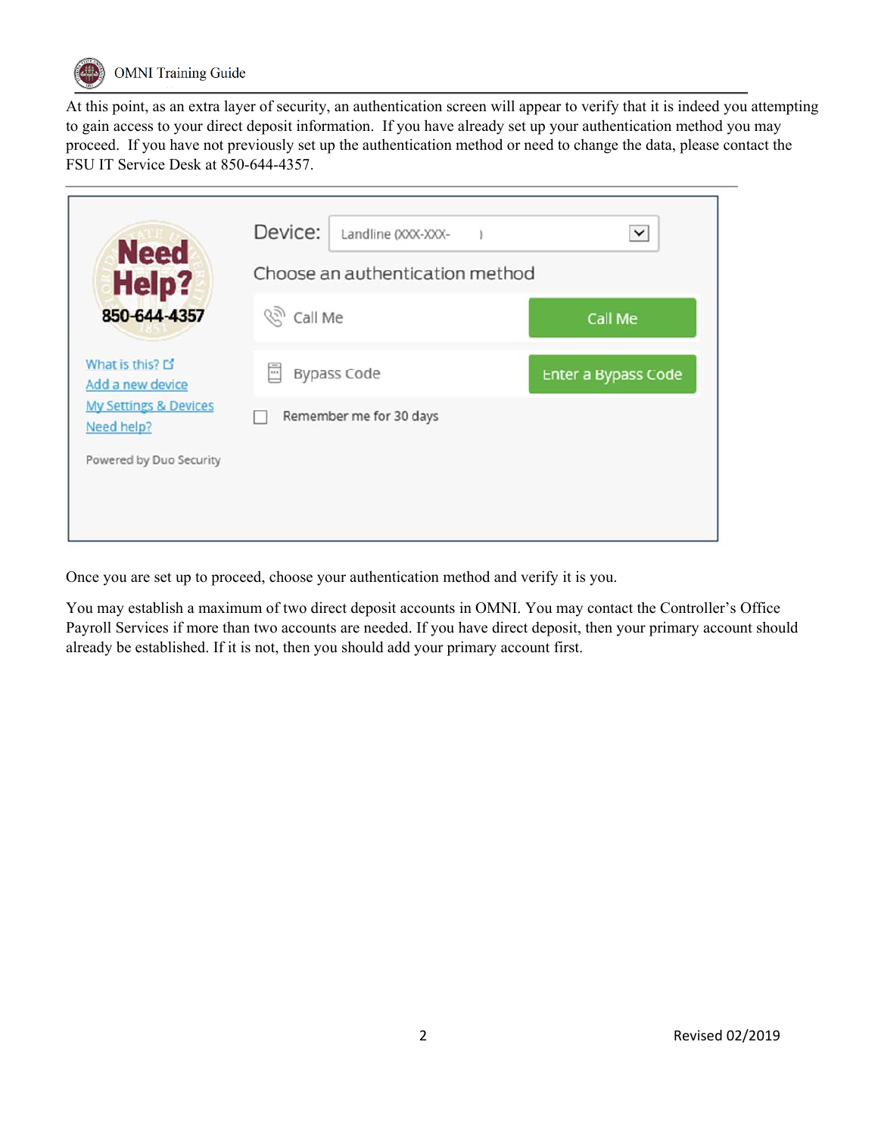

At this point, as an extra layer of security, an authentication screen will appear to verify that it is indeed you attempting to gain access to your direct deposit information. If you have already set up your authentication method you may proceed. If you have not previously set up the authentication method or need to change the data, please contact the FSU IT Service Desk at 850-644-4357.

| <b>Need</b><br><b>Help?</b>                    | Device:<br>Landline (XXX-XXX-<br>Choose an authentication method | $\check{~}$         |
|------------------------------------------------|------------------------------------------------------------------|---------------------|
| 850-644-4357                                   | <sup>(2)</sup> Call Me                                           | Call Me             |
| What is this? L'<br>Add a new device           | F<br><b>Bypass Code</b>                                          | Enter a Bypass Code |
| <b>My Settings &amp; Devices</b><br>Need help? | Remember me for 30 days                                          |                     |
| Powered by Duo Security                        |                                                                  |                     |
|                                                |                                                                  |                     |

Once you are set up to proceed, choose your authentication method and verify it is you.

You may establish a maximum of two direct deposit accounts in OMNI. You may contact the Controller's Office Payroll Services if more than two accounts are needed. If you have direct deposit, then your primary account should already be established. If it is not, then you should add your primary account first.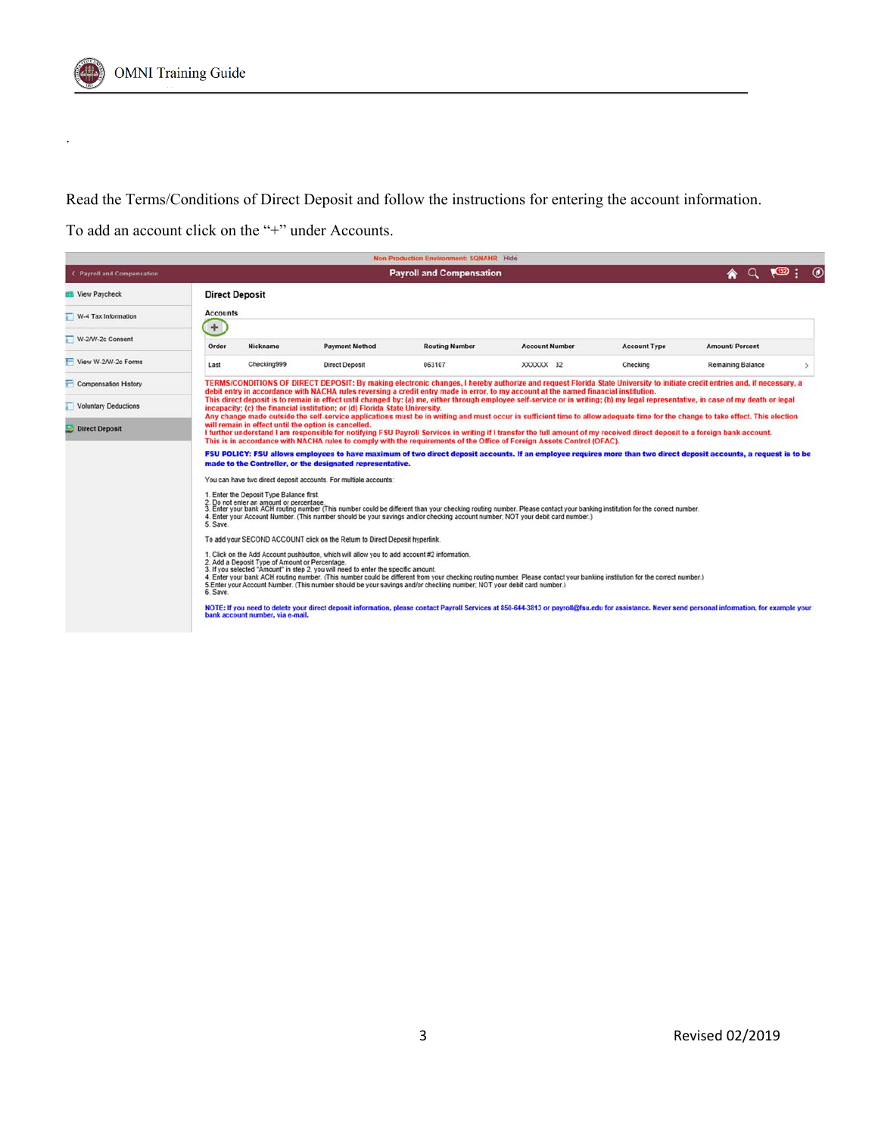

.

Read the Terms/Conditions of Direct Deposit and follow the instructions for entering the account information.

To add an account click on the "+" under Accounts.

|                                      |                        |                                                                                      |                                                                                                                                                                                   | Non-Production Environment: SQNAHR Hide                                                                                |                                                                                                                                                                                                                                                                                                            |                     |                                                                                                                                                                                                   |  |
|--------------------------------------|------------------------|--------------------------------------------------------------------------------------|-----------------------------------------------------------------------------------------------------------------------------------------------------------------------------------|------------------------------------------------------------------------------------------------------------------------|------------------------------------------------------------------------------------------------------------------------------------------------------------------------------------------------------------------------------------------------------------------------------------------------------------|---------------------|---------------------------------------------------------------------------------------------------------------------------------------------------------------------------------------------------|--|
| <b>&lt; Payroll and Compensation</b> |                        |                                                                                      |                                                                                                                                                                                   | <b>Payroll and Compensation</b>                                                                                        |                                                                                                                                                                                                                                                                                                            |                     | $Q = 152$                                                                                                                                                                                         |  |
| <b>EB</b> View Paycheck              |                        | <b>Direct Deposit</b>                                                                |                                                                                                                                                                                   |                                                                                                                        |                                                                                                                                                                                                                                                                                                            |                     |                                                                                                                                                                                                   |  |
| W-4 Tax Information                  | <b>Accounts</b><br>$+$ |                                                                                      |                                                                                                                                                                                   |                                                                                                                        |                                                                                                                                                                                                                                                                                                            |                     |                                                                                                                                                                                                   |  |
| W-2/W-2c Consent                     | Order                  | Nickname                                                                             | <b>Payment Method</b>                                                                                                                                                             | <b>Routing Number</b>                                                                                                  | <b>Account Number</b>                                                                                                                                                                                                                                                                                      | <b>Account Type</b> | <b>Amount/Percent</b>                                                                                                                                                                             |  |
| View W-2/W-2c Forms                  | Last                   | Checking999                                                                          | <b>Direct Deposit</b>                                                                                                                                                             | 063107                                                                                                                 | XXXXXX 32                                                                                                                                                                                                                                                                                                  | Checking            | Remaining Balance                                                                                                                                                                                 |  |
| Compensation History                 |                        |                                                                                      |                                                                                                                                                                                   |                                                                                                                        | debit entry in accordance with NACHA rules reversing a credit entry made in error, to my account at the named financial institution.                                                                                                                                                                       |                     | TERMS/CONDITIONS OF DIRECT DEPOSIT: By making electronic changes, I hereby authorize and request Florida State University to initiate credit entries and, if necessary, a                         |  |
| Voluntary Deductions                 |                        |                                                                                      | incapacity; (c) the financial institution; or (d) Florida State University.                                                                                                       |                                                                                                                        |                                                                                                                                                                                                                                                                                                            |                     | This direct deposit is to remain in effect until changed by: (a) me, either through employee self-service or in writing; (b) my legal representative, in case of my death or legal                |  |
| <b>Direct Deposit</b>                |                        |                                                                                      | will remain in effect until the option is cancelled.                                                                                                                              |                                                                                                                        | I further understand I am responsible for notifying FSU Payroll Services in writing if I transfer the full amount of my received direct deposit to a foreign bank account.<br>This is in accordance with NACHA rules to comply with the requirements of the Office of Foreign Assets Control (OFAC).       |                     | Any change made outside the self-service applications must be in writing and must occur in sufficient time to allow adequate time for the change to take effect. This election                    |  |
|                                      |                        |                                                                                      | made to the Controller, or the designated representative.                                                                                                                         |                                                                                                                        |                                                                                                                                                                                                                                                                                                            |                     | FSU POLICY: FSU allows employees to have maximum of two direct deposit accounts. If an employee requires more than two direct deposit accounts, a request is to be                                |  |
|                                      |                        |                                                                                      | You can have two direct deposit accounts. For multiple accounts:                                                                                                                  |                                                                                                                        |                                                                                                                                                                                                                                                                                                            |                     |                                                                                                                                                                                                   |  |
|                                      | 5. Save.               | 1. Enter the Deposit Type Balance first.<br>2. Do not enter an amount or percentage. |                                                                                                                                                                                   |                                                                                                                        | 3. Enter your bank ACH routing number (This number could be different than your checking routing number. Please contact your banking institution for the correct number.<br>4. Enter your Account Number. (This number should be your savings and/or checking account number; NOT your debit card number.) |                     |                                                                                                                                                                                                   |  |
|                                      |                        |                                                                                      | To add your SECOND ACCOUNT click on the Return to Direct Deposit hyperlink.                                                                                                       |                                                                                                                        |                                                                                                                                                                                                                                                                                                            |                     |                                                                                                                                                                                                   |  |
|                                      | 6. Save.               | 2. Add a Deposit Type of Amount or Percentage.                                       | 1. Click on the Add Account pushbutton, which will allow you to add account #2 information.<br>3. If you selected "Amount" in step 2, you will need to enter the specific amount. | 5. Enter your Account Number. (This number should be your savings and/or checking number; NOT your debit card number.) | 4. Enter your bank ACH routing number. (This number could be different from your checking routing number. Please contact your banking institution for the correct number.)                                                                                                                                 |                     |                                                                                                                                                                                                   |  |
|                                      |                        | bank account number, via e-mail.                                                     |                                                                                                                                                                                   |                                                                                                                        |                                                                                                                                                                                                                                                                                                            |                     | NOTE: If you need to delete your direct deposit information, please contact Payroll Services at 850-644-3813 or payroll@fsu.edu for assistance. Never send personal information, for example your |  |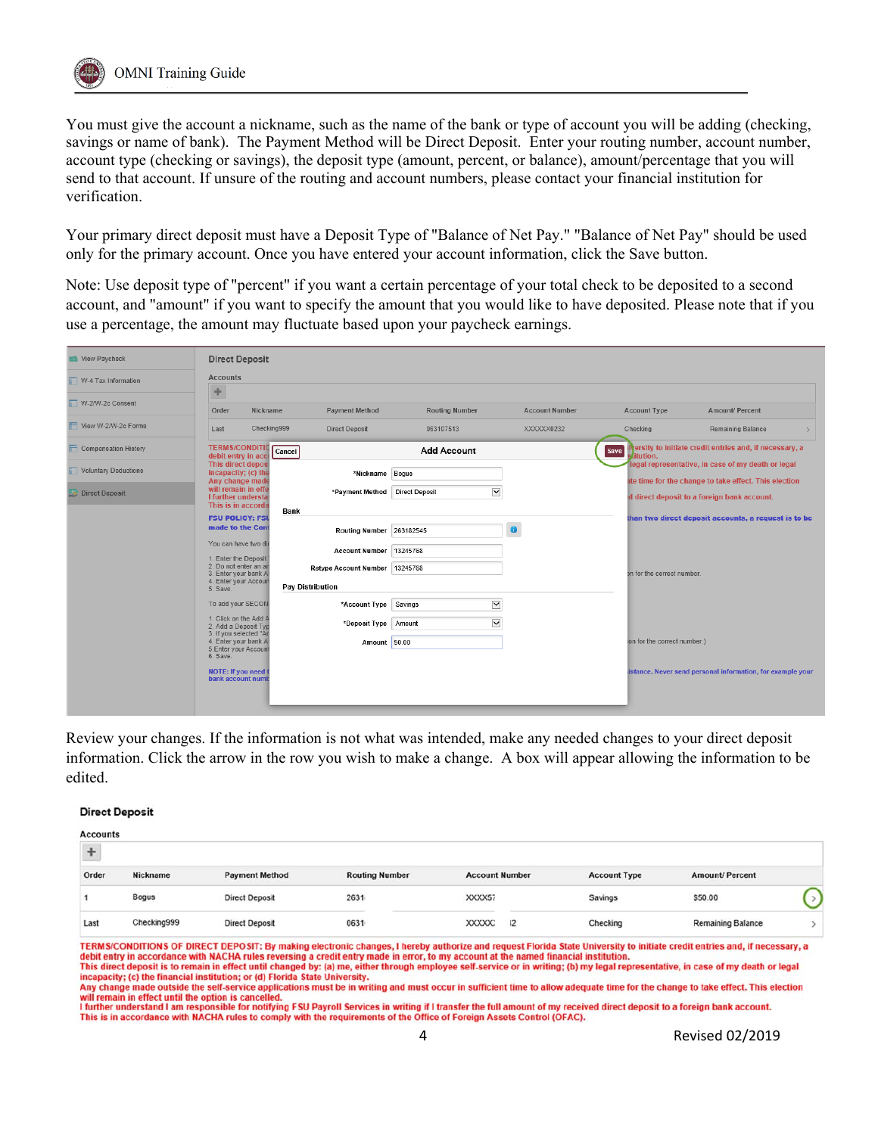

You must give the account a nickname, such as the name of the bank or type of account you will be adding (checking, savings or name of bank). The Payment Method will be Direct Deposit. Enter your routing number, account number, account type (checking or savings), the deposit type (amount, percent, or balance), amount/percentage that you will send to that account. If unsure of the routing and account numbers, please contact your financial institution for verification.

Your primary direct deposit must have a Deposit Type of "Balance of Net Pay." "Balance of Net Pay" should be used only for the primary account. Once you have entered your account information, click the Save button.

Note: Use deposit type of "percent" if you want a certain percentage of your total check to be deposited to a second account, and "amount" if you want to specify the amount that you would like to have deposited. Please note that if you use a percentage, the amount may fluctuate based upon your paycheck earnings.

| View Paycheck         | <b>Direct Deposit</b>                          |             |                                |                       |                       |                              |                                                            |               |
|-----------------------|------------------------------------------------|-------------|--------------------------------|-----------------------|-----------------------|------------------------------|------------------------------------------------------------|---------------|
| VV-4 Tax Information  | <b>Accounts</b>                                |             |                                |                       |                       |                              |                                                            |               |
|                       | ÷                                              |             |                                |                       |                       |                              |                                                            |               |
| W-2/W-2c Consent      | Order                                          | Nickname    | <b>Payment Method</b>          | <b>Routing Number</b> | <b>Account Number</b> | <b>Account Type</b>          | Amount/ Percent                                            |               |
| View W-2/W-2c Forms   | Last                                           | Checking999 | <b>Direct Deposit</b>          | 063107513             | XXXXXX0232            | Checking                     | Remaining Balance                                          | $\rightarrow$ |
| Compensation History  | <b>TERMS/CONDITIO</b><br>debit entry in acco   | Cancel      |                                | <b>Add Account</b>    |                       | Save<br>stitution.           | versity to initiate credit entries and, if necessary, a    |               |
| Voluntary Deductions  | This direct deposi<br>incapacity; (c) the      |             | *Nickname Bogus                |                       |                       |                              | legal representative, in case of my death or legal         |               |
|                       | Any change made                                |             |                                |                       |                       |                              | ate time for the change to take effect. This election      |               |
| <b>Direct Deposit</b> | will remain in effe<br>I further understal     |             | *Payment Method                | <b>Direct Deposit</b> | $\breve{ }$           |                              | d direct deposit to a foreign bank account.                |               |
|                       | This is in accorda                             | <b>Bank</b> |                                |                       |                       |                              |                                                            |               |
|                       | <b>FSU POLICY: FSU</b>                         |             |                                |                       |                       |                              | than two direct deposit accounts, a request is to be       |               |
|                       | made to the Con                                |             | Routing Number 263182545       |                       | $\bullet$             |                              |                                                            |               |
|                       | You can have two dir                           |             | <b>Account Number</b>          | 13245768              |                       |                              |                                                            |               |
|                       | 1. Enter the Deposit                           |             |                                |                       |                       |                              |                                                            |               |
|                       | 2. Do not enter an an<br>3. Enter your bank A  |             | Retype Account Number 13245768 |                       |                       | on for the correct number.   |                                                            |               |
|                       | 4. Enter your Accoun                           |             | <b>Pay Distribution</b>        |                       |                       |                              |                                                            |               |
|                       | 5. Save.                                       |             |                                |                       |                       |                              |                                                            |               |
|                       | To add your SECON                              |             | *Account Type                  | Savings               | $\check{}$            |                              |                                                            |               |
|                       | 1. Click on the Add A                          |             | *Deposit Type                  | Amount                | $\blacktriangledown$  |                              |                                                            |               |
|                       | 2. Add a Deposit Typ<br>3. If you selected "Ar |             |                                |                       |                       |                              |                                                            |               |
|                       | 4. Enter your bank A                           |             | Amount 50.00                   |                       |                       | ion for the correct number.) |                                                            |               |
|                       | 5.Enter your Account<br>6. Save.               |             |                                |                       |                       |                              |                                                            |               |
|                       | NOTE: If you need t                            |             |                                |                       |                       |                              | istance. Never send personal information, for example your |               |
|                       | bank account numl                              |             |                                |                       |                       |                              |                                                            |               |
|                       |                                                |             |                                |                       |                       |                              |                                                            |               |
|                       |                                                |             |                                |                       |                       |                              |                                                            |               |
|                       |                                                |             |                                |                       |                       |                              |                                                            |               |

Review your changes. If the information is not what was intended, make any needed changes to your direct deposit information. Click the arrow in the row you wish to make a change. A box will appear allowing the information to be edited.

#### **Direct Deposit**

| <b>Accounts</b> |              |                       |                       |                       |                     |                          |  |
|-----------------|--------------|-----------------------|-----------------------|-----------------------|---------------------|--------------------------|--|
|                 |              |                       |                       |                       |                     |                          |  |
| Order           | Nickname     | <b>Payment Method</b> | <b>Routing Number</b> | <b>Account Number</b> | <b>Account Type</b> | <b>Amount/Percent</b>    |  |
|                 | <b>Bogus</b> | <b>Direct Deposit</b> | 2631                  | XXXX57                | Savings             | \$50.00                  |  |
| Last            | Checking999  | <b>Direct Deposit</b> | 0631                  | XXXXX<br>12           | Checking            | <b>Remaining Balance</b> |  |

TERMS/CONDITIONS OF DIRECT DEPOSIT: By making electronic changes, I hereby authorize and request Florida State University to initiate credit entries and, if necessary, a debit entry in accordance with NACHA rules reversing a credit entry made in error, to my account at the named financial institution This direct deposit is to remain in effect until changed by: (a) me, either through employee self-service or in writing; (b) my legal representative, in case of my death or legal

incapacity; (c) the financial institution; or (d) Florida State University. Any change made outside the self-service applications must be in writing and must occur in sufficient time to allow adequate time for the change to take effect. This election

will remain in effect until the option is cancelled.<br>I further understand I am responsible for notifying FSU Payroll Services in writing if I transfer the full amount of my received direct deposit to a foreign bank account This is in accordance with NACHA rules to comply with the requirements of the Office of Foreign Assets Control (OFAC).